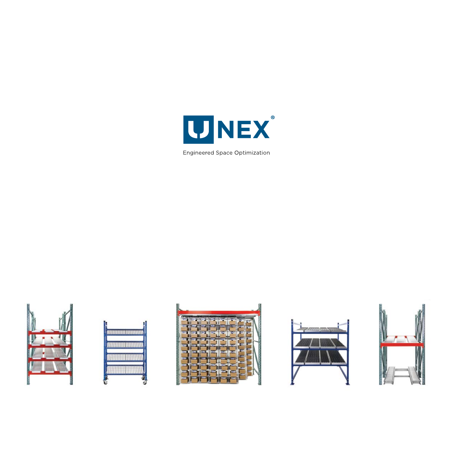

Engineered Space Optimization









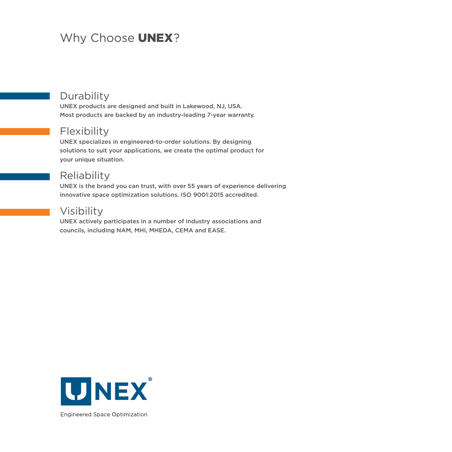## Why Choose **UNEX**?

## **Durability**

UNEX products are designed and built in Lakewood, NJ, USA. Most products are backed by an industry-leading 7-year warranty.

## Flexibility

UNEX specializes in engineered-to-order solutions. By designing solutions to suit your applications, we create the optimal product for your unique situation.

### **Reliability**

UNEX is the brand you can trust, with over 55 years of experience delivering innovative space optimization solutions. ISO 9001:2015 accredited.

## Visibility

UNEX actively participates in a number of industry associations and councils, including NAM, MHI, MHEDA, CEMA and EASE.



**Engineered Space Optimization**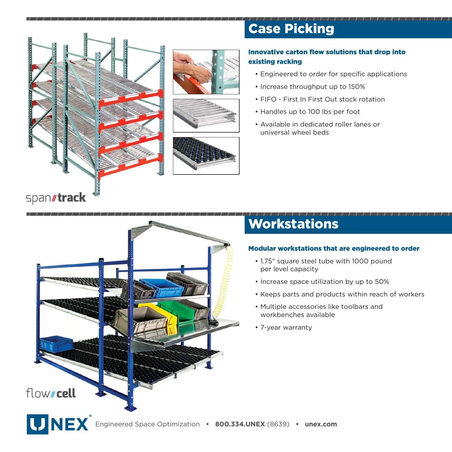

# Case Picking

### Innovative carton flow solutions that drop into existing racking

- Engineered to order for specific applications
- Increase throughput up to 150%
- FIFO First In First Out stock rotation
- Handles up to 100 lbs per foot
- Available in dedicated roller lanes or universal wheel beds

## Workstations

### Modular workstations that are engineered to order

- 1.75" square steel tube with 1000 pound per level capacity
- Increase space utilization by up to 50%
- Keeps parts and products within reach of workers
- Multiple accessories like toolbars and workbenches available
- 7-year warranty

**ARANTAS**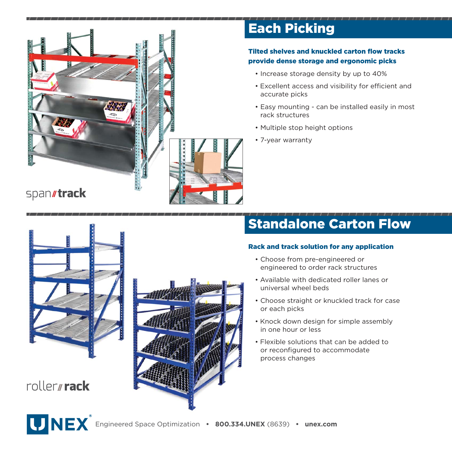

# Each Picking

### Tilted shelves and knuckled carton flow tracks provide dense storage and ergonomic picks

- Increase storage density by up to 40%
- Excellent access and visibility for efficient and accurate picks
- Easy mounting can be installed easily in most rack structures
- Multiple stop height options
- 7-year warranty

## span*I*track



roller**//rack** 



# Standalone Carton Flow

#### Rack and track solution for any application

- Choose from pre-engineered or engineered to order rack structures
- Available with dedicated roller lanes or universal wheel beds
- Choose straight or knuckled track for case or each picks
- Knock down design for simple assembly in one hour or less
- Flexible solutions that can be added to or reconfigured to accommodate process changes

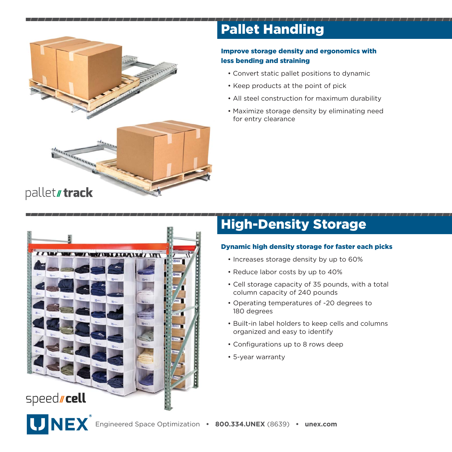

# Pallet Handling

### Improve storage density and ergonomics with less bending and straining

- Convert static pallet positions to dynamic
- Keep products at the point of pick
- All steel construction for maximum durability
- Maximize storage density by eliminating need for entry clearance



# High-Density Storage

### Dynamic high density storage for faster each picks

- Increases storage density by up to 60%
- Reduce labor costs by up to 40%
- Cell storage capacity of 35 pounds, with a total column capacity of 240 pounds
- Operating temperatures of -20 degrees to 180 degrees
- Built-in label holders to keep cells and columns organized and easy to identify
- Configurations up to 8 rows deep
- 5-year warranty